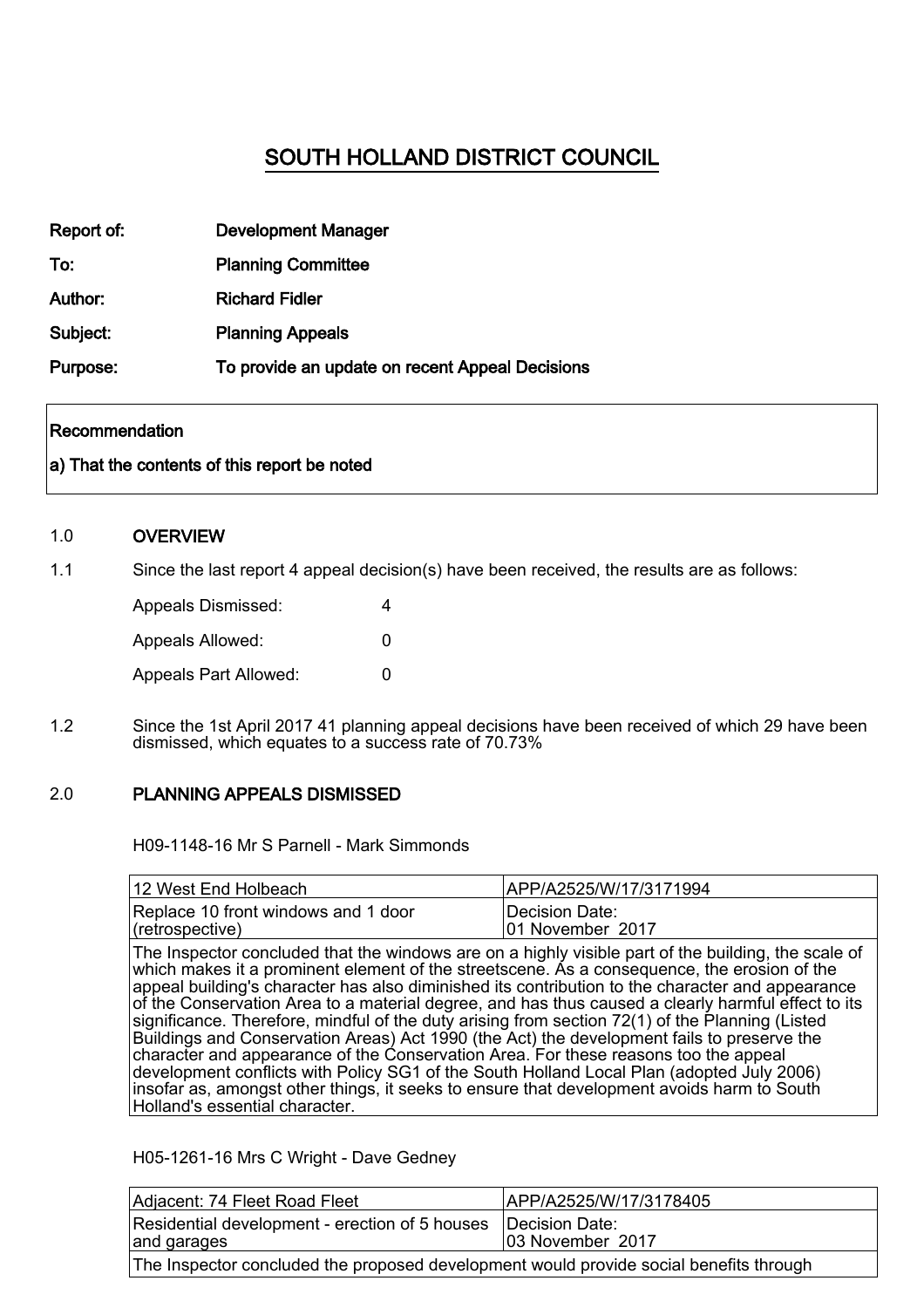# SOUTH HOLLAND DISTRICT COUNCIL

| Report of: | <b>Development Manager</b>                      |
|------------|-------------------------------------------------|
| To:        | <b>Planning Committee</b>                       |
| Author:    | <b>Richard Fidler</b>                           |
| Subject:   | <b>Planning Appeals</b>                         |
| Purpose:   | To provide an update on recent Appeal Decisions |

#### Recommendation

#### a) That the contents of this report be noted

#### 1.0 **OVERVIEW**

1.1 Since the last report 4 appeal decision(s) have been received, the results are as follows:

| Appeals Dismissed:    | 4 |  |
|-----------------------|---|--|
| Appeals Allowed:      | O |  |
| Appeals Part Allowed: | O |  |

1.2 Since the 1st April 2017 41 planning appeal decisions have been received of which 29 have been dismissed, which equates to a success rate of 70.73%

#### 2.0 PLANNING APPEALS DISMISSED

H09-1148-16 Mr S Parnell - Mark Simmonds

| 12 West End Holbeach                | IAPP/A2525/W/17/3171994 |
|-------------------------------------|-------------------------|
| Replace 10 front windows and 1 door | ∣Decision Date:         |
| $ $ (retrospective)                 | 101 November 2017       |

The Inspector concluded that the windows are on a highly visible part of the building, the scale of which makes it a prominent element of the streetscene. As a consequence, the erosion of the appeal building's character has also diminished its contribution to the character and appearance of the Conservation Area to a material degree, and has thus caused a clearly harmful effect to its significance. Therefore, mindful of the duty arising from section 72(1) of the Planning (Listed Buildings and Conservation Areas) Act 1990 (the Act) the development fails to preserve the character and appearance of the Conservation Area. For these reasons too the appeal development conflicts with Policy SG1 of the South Holland Local Plan (adopted July 2006) insofar as, amongst other things, it seeks to ensure that development avoids harm to South Holland's essential character.

#### H05-1261-16 Mrs C Wright - Dave Gedney

| Adjacent: 74 Fleet Road Fleet                                                          | APP/A2525/W/17/3178405                     |  |
|----------------------------------------------------------------------------------------|--------------------------------------------|--|
| Residential development - erection of 5 houses<br>and garages                          | <b>IDecision Date:</b><br>03 November 2017 |  |
| The Inspector concluded the proposed development would provide social benefits through |                                            |  |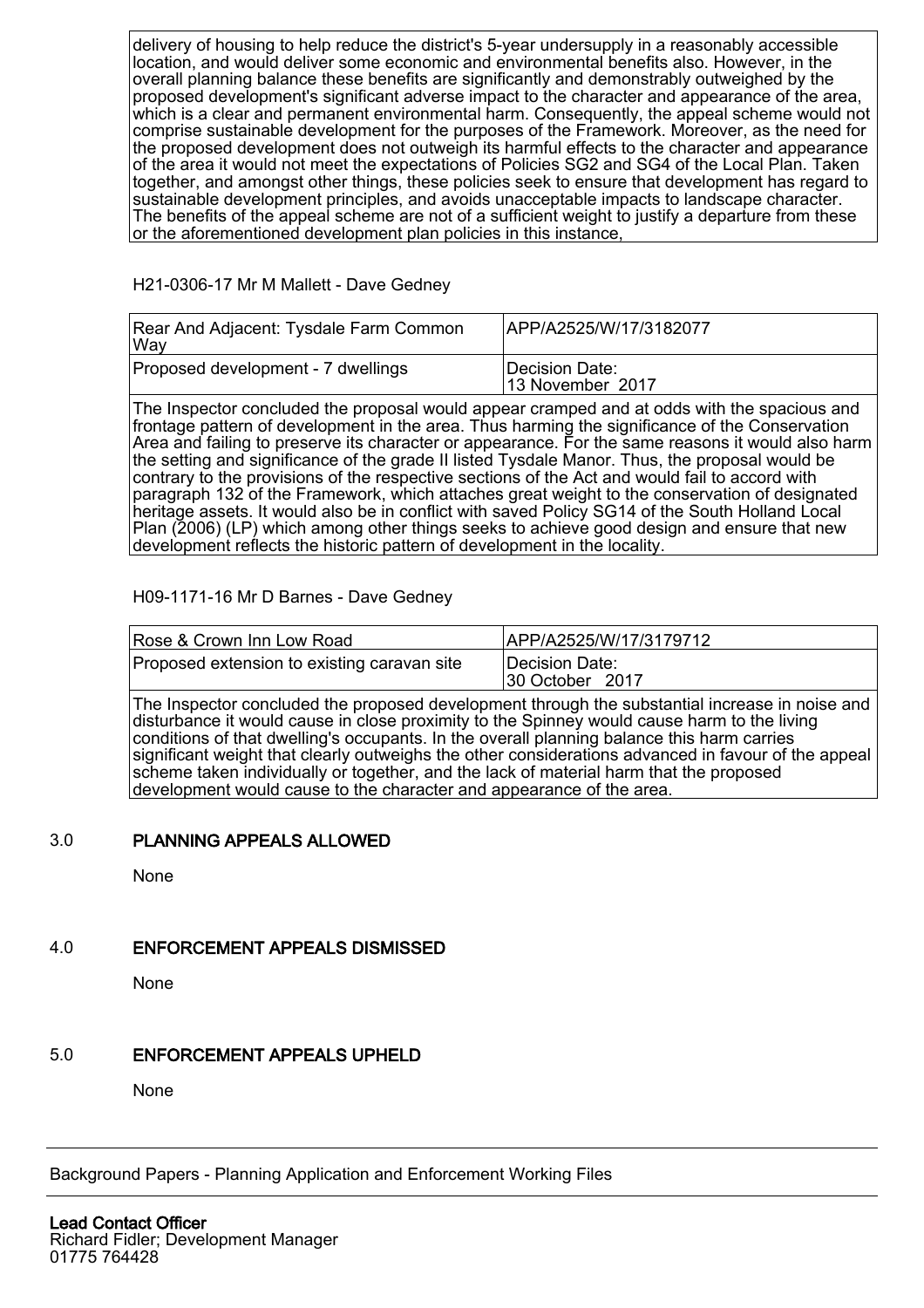delivery of housing to help reduce the district's 5-year undersupply in a reasonably accessible location, and would deliver some economic and environmental benefits also. However, in the overall planning balance these benefits are significantly and demonstrably outweighed by the proposed development's significant adverse impact to the character and appearance of the area, which is a clear and permanent environmental harm. Consequently, the appeal scheme would not comprise sustainable development for the purposes of the Framework. Moreover, as the need for the proposed development does not outweigh its harmful effects to the character and appearance of the area it would not meet the expectations of Policies SG2 and SG4 of the Local Plan. Taken together, and amongst other things, these policies seek to ensure that development has regard to sustainable development principles, and avoids unacceptable impacts to landscape character. The benefits of the appeal scheme are not of a sufficient weight to justify a departure from these or the aforementioned development plan policies in this instance,

#### H21-0306-17 Mr M Mallett - Dave Gedney

| Rear And Adjacent: Tysdale Farm Common<br> Way | APP/A2525/W/17/3182077             |
|------------------------------------------------|------------------------------------|
| Proposed development - 7 dwellings             | Decision Date:<br>13 November 2017 |

The Inspector concluded the proposal would appear cramped and at odds with the spacious and frontage pattern of development in the area. Thus harming the significance of the Conservation Area and failing to preserve its character or appearance. For the same reasons it would also harm the setting and significance of the grade II listed Tysdale Manor. Thus, the proposal would be contrary to the provisions of the respective sections of the Act and would fail to accord with paragraph 132 of the Framework, which attaches great weight to the conservation of designated heritage assets. It would also be in conflict with saved Policy SG14 of the South Holland Local Plan (2006) (LP) which among other things seeks to achieve good design and ensure that new development reflects the historic pattern of development in the locality.

#### H09-1171-16 Mr D Barnes - Dave Gedney

| Rose & Crown Inn Low Road                   | APP/A2525/W/17/3179712            |
|---------------------------------------------|-----------------------------------|
| Proposed extension to existing caravan site | Decision Date:<br>30 October 2017 |

The Inspector concluded the proposed development through the substantial increase in noise and disturbance it would cause in close proximity to the Spinney would cause harm to the living conditions of that dwelling's occupants. In the overall planning balance this harm carries significant weight that clearly outweighs the other considerations advanced in favour of the appeal scheme taken individually or together, and the lack of material harm that the proposed development would cause to the character and appearance of the area.

#### 3.0 PLANNING APPEALS ALLOWED

None

### 4.0 ENFORCEMENT APPEALS DISMISSED

None

## 5.0 ENFORCEMENT APPEALS UPHELD

None

Background Papers - Planning Application and Enforcement Working Files